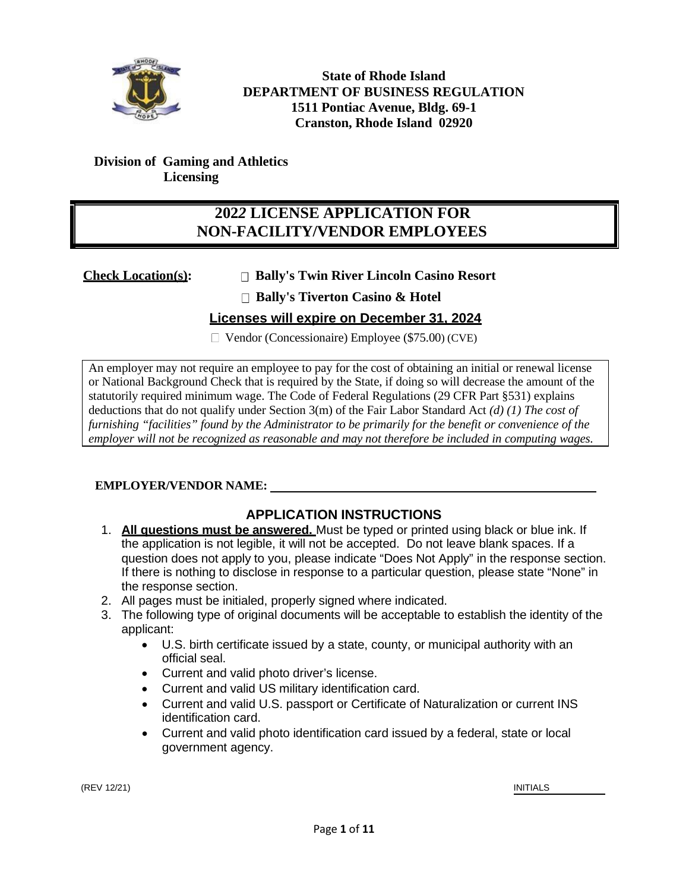

**State of Rhode Island DEPARTMENT OF BUSINESS REGULATION 1511 Pontiac Avenue, Bldg. 69-1 Cranston, Rhode Island 02920**

#### **Division of Gaming and Athletics Licensing**

## **202***2* **LICENSE APPLICATION FOR NON-FACILITY/VENDOR EMPLOYEES**

## **Check Location(s): Bally's Twin River Lincoln Casino Resort**

**Bally's Tiverton Casino & Hotel**

## **Licenses will expire on December 31, 2024**

 $\Box$  Vendor (Concessionaire) Employee (\$75.00) (CVE)

An employer may not require an employee to pay for the cost of obtaining an initial or renewal license or National Background Check that is required by the State, if doing so will decrease the amount of the statutorily required minimum wage. The Code of Federal Regulations (29 CFR Part §531) explains deductions that do not qualify under Section 3(m) of the Fair Labor Standard Act *(d) (1) The cost of furnishing "facilities" found by the Administrator to be primarily for the benefit or convenience of the employer will not be recognized as reasonable and may not therefore be included in computing wages.*

## **EMPLOYER/VENDOR NAME:**

## **APPLICATION INSTRUCTIONS**

- 1. **All questions must be answered.** Must be typed or printed using black or blue ink. If the application is not legible, it will not be accepted. Do not leave blank spaces. If a question does not apply to you, please indicate "Does Not Apply" in the response section. If there is nothing to disclose in response to a particular question, please state "None" in the response section.
- 2. All pages must be initialed, properly signed where indicated.
- 3. The following type of original documents will be acceptable to establish the identity of the applicant:
	- U.S. birth certificate issued by a state, county, or municipal authority with an official seal.
	- Current and valid photo driver's license.
	- Current and valid US military identification card.
	- Current and valid U.S. passport or Certificate of Naturalization or current INS identification card.
	- Current and valid photo identification card issued by a federal, state or local government agency.

(REV 12/21) INITIALS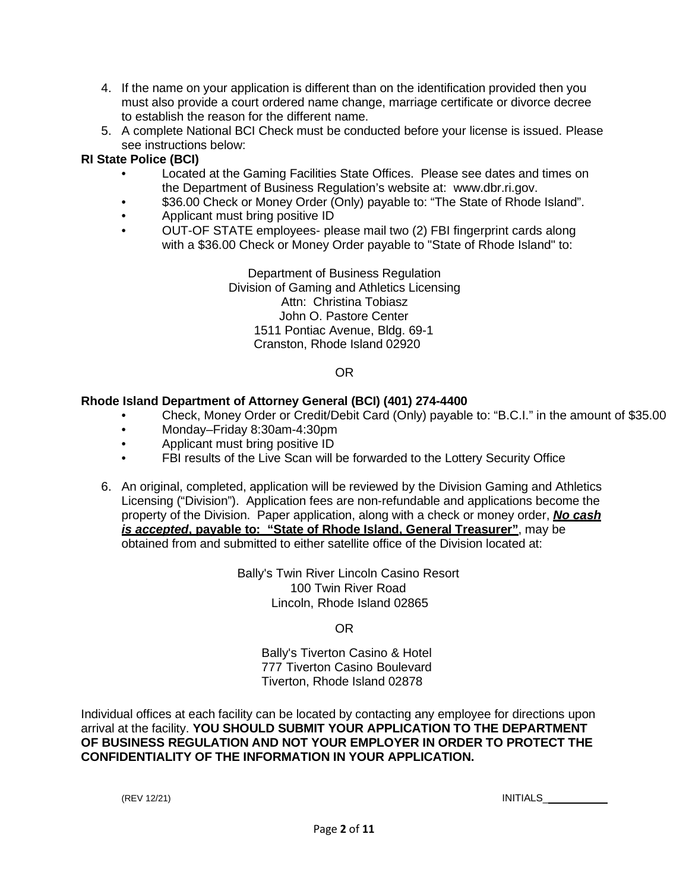- 4. If the name on your application is different than on the identification provided then you must also provide a court ordered name change, marriage certificate or divorce decree to establish the reason for the different name.
- 5. A complete National BCI Check must be conducted before your license is issued. Please see instructions below:

#### **RI State Police (BCI)**

- Located at the Gaming Facilities State Offices. Please see dates and times on the Department of Business Regulation's website at: [www.dbr.ri.gov.](http://www.dbr.ri.gov/)
- \$36.00 Check or Money Order (Only) payable to: "The State of Rhode Island".
- Applicant must bring positive ID
- OUT-OF STATE employees- please mail two (2) FBI fingerprint cards along with a \$36.00 Check or Money Order payable to "State of Rhode Island" to:

Department of Business Regulation Division of Gaming and Athletics Licensing Attn: Christina Tobiasz John O. Pastore Center 1511 Pontiac Avenue, Bldg. 69-1 Cranston, Rhode Island 02920

#### OR

#### **Rhode Island Department of Attorney General (BCI) (401) 274-4400**

- Check, Money Order or Credit/Debit Card (Only) payable to: "B.C.I." in the amount of \$35.00
- Monday–Friday 8:30am-4:30pm
- Applicant must bring positive ID
- FBI results of the Live Scan will be forwarded to the Lottery Security Office
- 6. An original, completed, application will be reviewed by the Division Gaming and Athletics Licensing ("Division"). Application fees are non-refundable and applications become the property of the Division. Paper application, along with a check or money order, *No cash is accepted***, payable to: "State of Rhode Island, General Treasurer"**, may be obtained from and submitted to either satellite office of the Division located at:

Bally's Twin River Lincoln Casino Resort 100 Twin River Road Lincoln, Rhode Island 02865

OR

Bally's Tiverton Casino & Hotel 777 Tiverton Casino Boulevard Tiverton, Rhode Island 02878

Individual offices at each facility can be located by contacting any employee for directions upon arrival at the facility. **YOU SHOULD SUBMIT YOUR APPLICATION TO THE DEPARTMENT OF BUSINESS REGULATION AND NOT YOUR EMPLOYER IN ORDER TO PROTECT THE CONFIDENTIALITY OF THE INFORMATION IN YOUR APPLICATION.**

(REV 12/21) INITIALS\_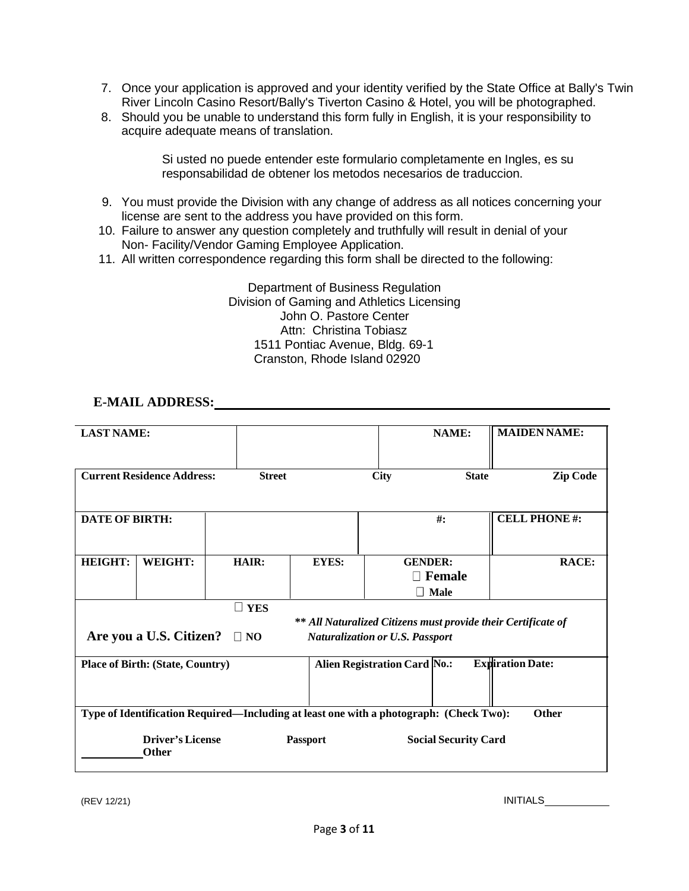- 7. Once your application is approved and your identity verified by the State Office at Bally's Twin River Lincoln Casino Resort/Bally's Tiverton Casino & Hotel, you will be photographed.
- 8. Should you be unable to understand this form fully in English, it is your responsibility to acquire adequate means of translation.

Si usted no puede entender este formulario completamente en Ingles, es su responsabilidad de obtener los metodos necesarios de traduccion.

- 9. You must provide the Division with any change of address as all notices concerning your license are sent to the address you have provided on this form.
- 10. Failure to answer any question completely and truthfully will result in denial of your Non- Facility/Vendor Gaming Employee Application.
- 11. All written correspondence regarding this form shall be directed to the following:

Department of Business Regulation Division of Gaming and Athletics Licensing John O. Pastore Center Attn: Christina Tobiasz 1511 Pontiac Avenue, Bldg. 69-1 Cranston, Rhode Island 02920

#### **E-MAIL ADDRESS:**

| <b>LAST NAME:</b>                                             |                                         |                                                                                        |                 |                                     | <b>NAME:</b>                | <b>MAIDEN NAME:</b>     |
|---------------------------------------------------------------|-----------------------------------------|----------------------------------------------------------------------------------------|-----------------|-------------------------------------|-----------------------------|-------------------------|
|                                                               |                                         |                                                                                        |                 |                                     |                             |                         |
|                                                               |                                         |                                                                                        |                 |                                     |                             |                         |
|                                                               |                                         |                                                                                        |                 |                                     |                             |                         |
|                                                               | <b>Current Residence Address:</b>       | <b>Street</b>                                                                          |                 | <b>City</b>                         | <b>State</b>                | <b>Zip Code</b>         |
|                                                               |                                         |                                                                                        |                 |                                     |                             |                         |
|                                                               |                                         |                                                                                        |                 |                                     |                             |                         |
|                                                               |                                         |                                                                                        |                 |                                     |                             |                         |
| <b>DATE OF BIRTH:</b>                                         |                                         |                                                                                        |                 |                                     | $\#$ :                      | <b>CELL PHONE#:</b>     |
|                                                               |                                         |                                                                                        |                 |                                     |                             |                         |
|                                                               |                                         |                                                                                        |                 |                                     |                             |                         |
| <b>HEIGHT:</b>                                                | <b>WEIGHT:</b>                          | HAIR:                                                                                  | <b>EYES:</b>    | <b>GENDER:</b>                      |                             | RACE:                   |
|                                                               |                                         |                                                                                        |                 |                                     | $\Box$ Female               |                         |
|                                                               |                                         |                                                                                        |                 |                                     |                             |                         |
|                                                               |                                         |                                                                                        |                 |                                     | $\Box$ Male                 |                         |
|                                                               | $\Box$ YES                              |                                                                                        |                 |                                     |                             |                         |
| ** All Naturalized Citizens must provide their Certificate of |                                         |                                                                                        |                 |                                     |                             |                         |
|                                                               |                                         |                                                                                        |                 |                                     |                             |                         |
| Are you a U.S. Citizen?<br>$\Box$ NO                          |                                         |                                                                                        |                 | Naturalization or U.S. Passport     |                             |                         |
|                                                               |                                         |                                                                                        |                 |                                     |                             |                         |
|                                                               | <b>Place of Birth: (State, Country)</b> |                                                                                        |                 | <b>Alien Registration Card No.:</b> |                             | <b>Expiration Date:</b> |
|                                                               |                                         |                                                                                        |                 |                                     |                             |                         |
|                                                               |                                         |                                                                                        |                 |                                     |                             |                         |
|                                                               |                                         |                                                                                        |                 |                                     |                             |                         |
|                                                               |                                         |                                                                                        |                 |                                     |                             |                         |
|                                                               |                                         | Type of Identification Required—Including at least one with a photograph: (Check Two): |                 |                                     |                             | Other                   |
|                                                               |                                         |                                                                                        |                 |                                     |                             |                         |
|                                                               | <b>Driver's License</b>                 |                                                                                        | <b>Passport</b> |                                     | <b>Social Security Card</b> |                         |
|                                                               | <b>Other</b>                            |                                                                                        |                 |                                     |                             |                         |
|                                                               |                                         |                                                                                        |                 |                                     |                             |                         |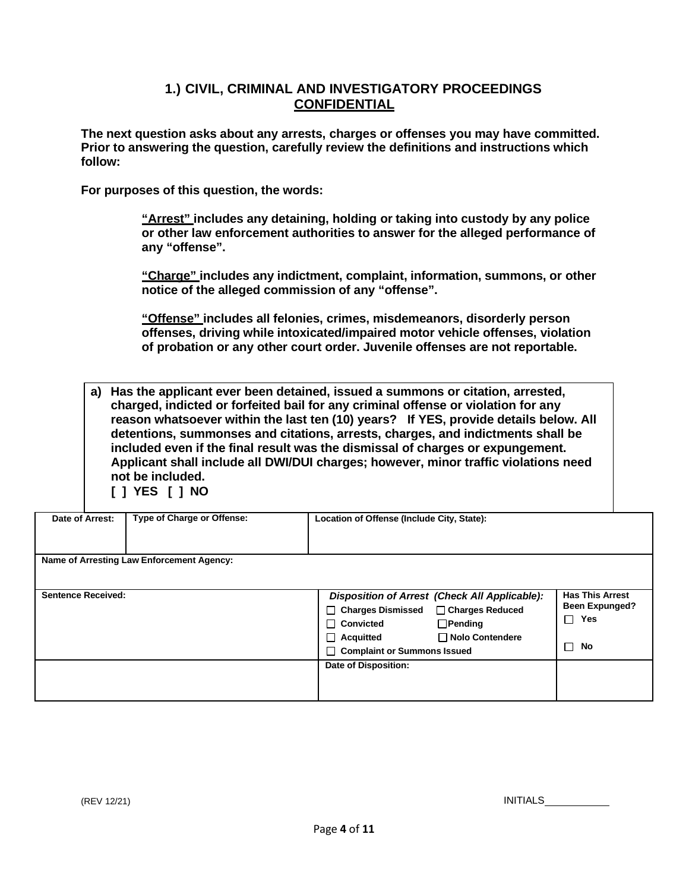#### **1.) CIVIL, CRIMINAL AND INVESTIGATORY PROCEEDINGS CONFIDENTIAL**

**The next question asks about any arrests, charges or offenses you may have committed. Prior to answering the question, carefully review the definitions and instructions which follow:**

**For purposes of this question, the words:**

**"Arrest" includes any detaining, holding or taking into custody by any police or other law enforcement authorities to answer for the alleged performance of any "offense".**

**"Charge" includes any indictment, complaint, information, summons, or other notice of the alleged commission of any "offense".**

**"Offense" includes all felonies, crimes, misdemeanors, disorderly person offenses, driving while intoxicated/impaired motor vehicle offenses, violation of probation or any other court order. Juvenile offenses are not reportable.**

**a) Has the applicant ever been detained, issued a summons or citation, arrested, charged, indicted or forfeited bail for any criminal offense or violation for any reason whatsoever within the last ten (10) years? If YES, provide details below. All detentions, summonses and citations, arrests, charges, and indictments shall be included even if the final result was the dismissal of charges or expungement. Applicant shall include all DWI/DUI charges; however, minor traffic violations need not be included. [ ] YES [ ] NO**

| Date of Arrest:           | Type of Charge or Offense:                | Location of Offense (Include City, State):                                                                                                                                                                       |                                                                        |  |
|---------------------------|-------------------------------------------|------------------------------------------------------------------------------------------------------------------------------------------------------------------------------------------------------------------|------------------------------------------------------------------------|--|
|                           | Name of Arresting Law Enforcement Agency: |                                                                                                                                                                                                                  |                                                                        |  |
| <b>Sentence Received:</b> |                                           | Disposition of Arrest (Check All Applicable):<br>Charges Dismissed □ Charges Reduced<br>$\Box$ Pending<br>$\sqcap$ Convicted<br>$\Box$ Nolo Contendere<br>$\Box$ Acquitted<br><b>Complaint or Summons Issued</b> | <b>Has This Arrest</b><br><b>Been Expunged?</b><br>□<br>Yes<br>No<br>▔ |  |
|                           |                                           | Date of Disposition:                                                                                                                                                                                             |                                                                        |  |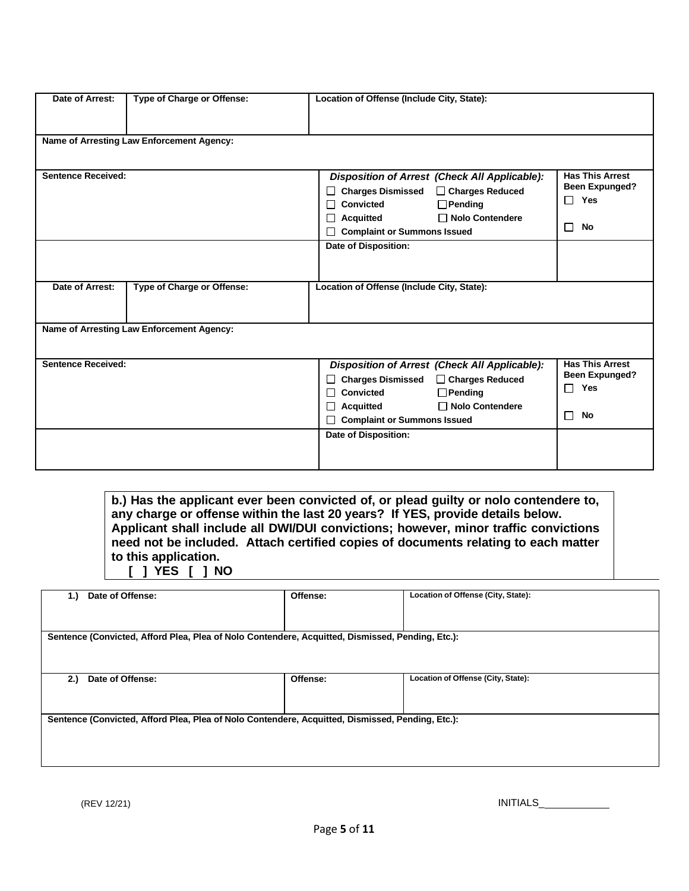| Date of Arrest:           | Type of Charge or Offense:                | Location of Offense (Include City, State): |                                               |                        |
|---------------------------|-------------------------------------------|--------------------------------------------|-----------------------------------------------|------------------------|
|                           |                                           |                                            |                                               |                        |
|                           | Name of Arresting Law Enforcement Agency: |                                            |                                               |                        |
|                           |                                           |                                            |                                               |                        |
| <b>Sentence Received:</b> |                                           |                                            | Disposition of Arrest (Check All Applicable): | <b>Has This Arrest</b> |
|                           |                                           |                                            | Charges Dismissed □ Charges Reduced           | <b>Been Expunged?</b>  |
|                           |                                           | <b>Convicted</b>                           | $\Box$ Pending                                | $\Box$ Yes             |
|                           |                                           | <b>Acquitted</b>                           | □ Nolo Contendere                             |                        |
|                           |                                           | <b>Complaint or Summons Issued</b>         |                                               | No<br>П                |
|                           |                                           | <b>Date of Disposition:</b>                |                                               |                        |
|                           |                                           |                                            |                                               |                        |
|                           |                                           |                                            |                                               |                        |
| Date of Arrest:           | Type of Charge or Offense:                | Location of Offense (Include City, State): |                                               |                        |
|                           |                                           |                                            |                                               |                        |
|                           |                                           |                                            |                                               |                        |
|                           | Name of Arresting Law Enforcement Agency: |                                            |                                               |                        |
|                           |                                           |                                            |                                               |                        |
| <b>Sentence Received:</b> |                                           |                                            | Disposition of Arrest (Check All Applicable): | <b>Has This Arrest</b> |
|                           |                                           |                                            | Charges Dismissed □ Charges Reduced           | <b>Been Expunged?</b>  |
|                           |                                           | Convicted                                  | $\Box$ Pending                                | $\Box$ Yes             |
|                           |                                           | <b>Acquitted</b>                           | $\Box$ Nolo Contendere                        |                        |
|                           |                                           | <b>Complaint or Summons Issued</b>         |                                               | No<br>П                |
|                           |                                           | Date of Disposition:                       |                                               |                        |
|                           |                                           |                                            |                                               |                        |
|                           |                                           |                                            |                                               |                        |

**b.) Has the applicant ever been convicted of, or plead guilty or nolo contendere to, any charge or offense within the last 20 years? If YES, provide details below. Applicant shall include all DWI/DUI convictions; however, minor traffic convictions need not be included. Attach certified copies of documents relating to each matter to this application. [ ] YES [ ] NO**

| 1.  | Date of Offense:                                                                                 | Offense: | Location of Offense (City, State): |
|-----|--------------------------------------------------------------------------------------------------|----------|------------------------------------|
|     |                                                                                                  |          |                                    |
|     |                                                                                                  |          |                                    |
|     |                                                                                                  |          |                                    |
|     |                                                                                                  |          |                                    |
|     | Sentence (Convicted, Afford Plea, Plea of Nolo Contendere, Acquitted, Dismissed, Pending, Etc.): |          |                                    |
|     |                                                                                                  |          |                                    |
|     |                                                                                                  |          |                                    |
|     |                                                                                                  |          |                                    |
|     |                                                                                                  |          |                                    |
| 2.) | Date of Offense:                                                                                 | Offense: | Location of Offense (City, State): |
|     |                                                                                                  |          |                                    |
|     |                                                                                                  |          |                                    |
|     |                                                                                                  |          |                                    |
|     |                                                                                                  |          |                                    |
|     | Sentence (Convicted, Afford Plea, Plea of Nolo Contendere, Acquitted, Dismissed, Pending, Etc.): |          |                                    |
|     |                                                                                                  |          |                                    |
|     |                                                                                                  |          |                                    |
|     |                                                                                                  |          |                                    |
|     |                                                                                                  |          |                                    |
|     |                                                                                                  |          |                                    |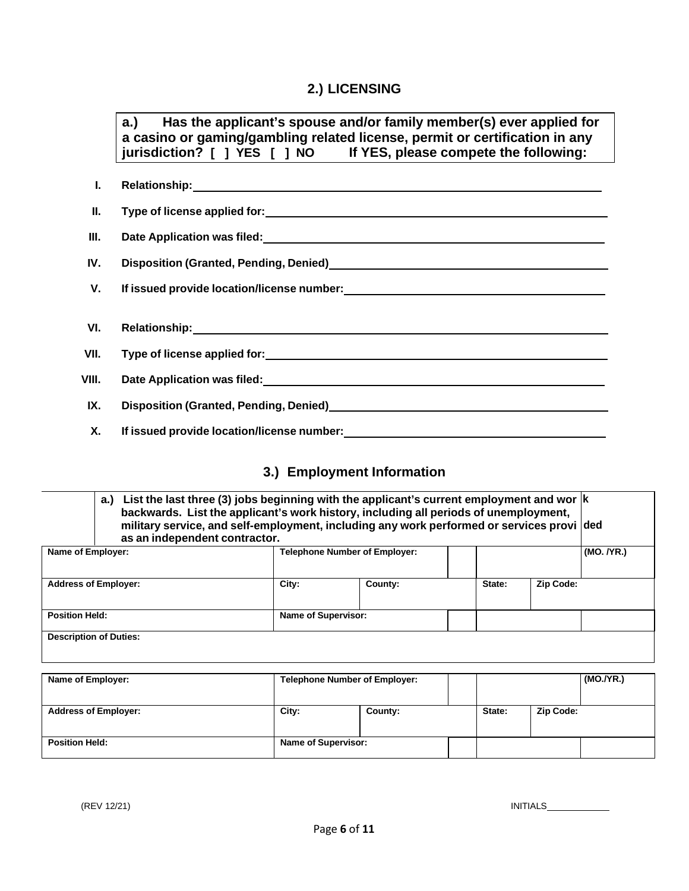# **2.) LICENSING**

|           | a.) Has the applicant's spouse and/or family member(s) ever applied for<br>a casino or gaming/gambling related license, permit or certification in any<br>jurisdiction? [ ] YES [ ] NO If YES, please compete the following:   |
|-----------|--------------------------------------------------------------------------------------------------------------------------------------------------------------------------------------------------------------------------------|
| L.        |                                                                                                                                                                                                                                |
| Ш.        |                                                                                                                                                                                                                                |
| Ш.        |                                                                                                                                                                                                                                |
| IV.       | Disposition (Granted, Pending, Denied)<br><u>Disposition</u> (Granted, Pending, Denied)                                                                                                                                        |
| V.        |                                                                                                                                                                                                                                |
| VI.       | Relationship: Manual Manual Manual Manual Manual Manual Manual Manual Manual Manual Manual Manual Manual Manua                                                                                                                 |
| VII.      |                                                                                                                                                                                                                                |
| VIII.     | Date Application was filed: Notice and the contract of the contract of the contract of the contract of the contract of the contract of the contract of the contract of the contract of the contract of the contract of the con |
| IX.       |                                                                                                                                                                                                                                |
| <b>X.</b> |                                                                                                                                                                                                                                |

# **3.) Employment Information**

| a.)<br>as an independent contractor. | List the last three (3) jobs beginning with the applicant's current employment and wor $ k $<br>backwards. List the applicant's work history, including all periods of unemployment,<br>military service, and self-employment, including any work performed or services provi ded |                                      |        |            |
|--------------------------------------|-----------------------------------------------------------------------------------------------------------------------------------------------------------------------------------------------------------------------------------------------------------------------------------|--------------------------------------|--------|------------|
| Name of Employer:                    |                                                                                                                                                                                                                                                                                   | <b>Telephone Number of Employer:</b> |        | (MO. /YR.) |
| <b>Address of Employer:</b>          | City:                                                                                                                                                                                                                                                                             | County:                              | State: | Zip Code:  |
| <b>Position Held:</b>                | Name of Supervisor:                                                                                                                                                                                                                                                               |                                      |        |            |
| <b>Description of Duties:</b>        |                                                                                                                                                                                                                                                                                   |                                      |        |            |
| Name of Employer:                    |                                                                                                                                                                                                                                                                                   | <b>Telephone Number of Employer:</b> |        | (MO./YR.)  |
| <b>Address of Employer:</b>          | City:                                                                                                                                                                                                                                                                             | County:                              | State: | Zip Code:  |
| <b>Position Held:</b>                | Name of Supervisor:                                                                                                                                                                                                                                                               |                                      |        |            |

(REV 12/21) INITIALS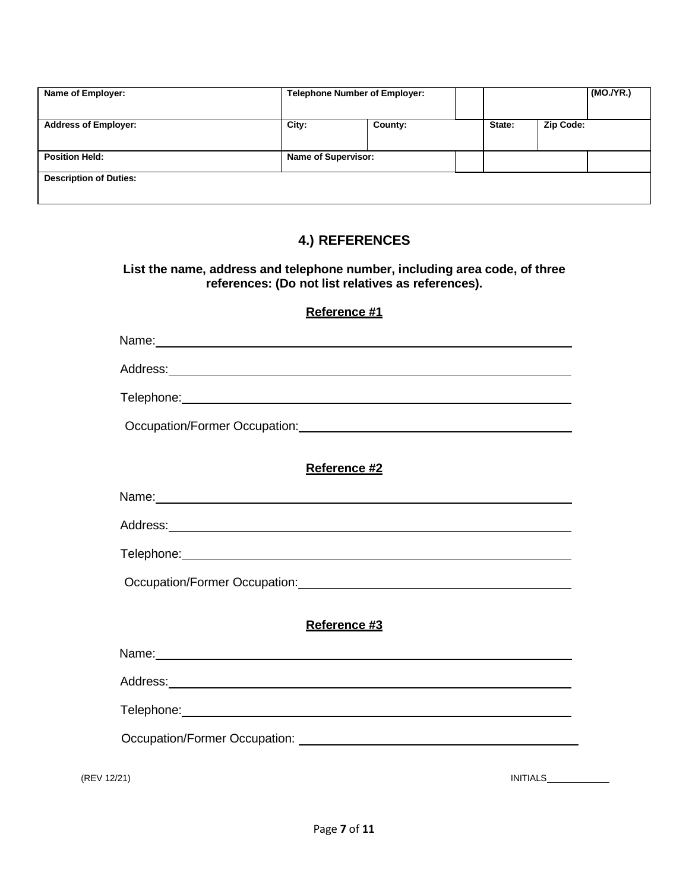| Name of Employer:             | <b>Telephone Number of Employer:</b> |         |        |           | (MO./YR.) |
|-------------------------------|--------------------------------------|---------|--------|-----------|-----------|
| <b>Address of Employer:</b>   | City:                                | County: | State: | Zip Code: |           |
| <b>Position Held:</b>         | <b>Name of Supervisor:</b>           |         |        |           |           |
| <b>Description of Duties:</b> |                                      |         |        |           |           |

## **4.) REFERENCES**

#### **List the name, address and telephone number, including area code, of three references: (Do not list relatives as references).**

#### **Reference #1**

|                                                                                         | Reference #2 |                 |
|-----------------------------------------------------------------------------------------|--------------|-----------------|
| Name: Name:                                                                             |              |                 |
|                                                                                         |              |                 |
|                                                                                         |              |                 |
|                                                                                         |              |                 |
|                                                                                         | Reference #3 |                 |
| Name: Name:                                                                             |              |                 |
|                                                                                         |              |                 |
| Telephone: www.astronomia.com/www.astronomia.com/www.astronomia.com/www.astronomia.com/ |              |                 |
|                                                                                         |              |                 |
| (REV 12/21)                                                                             |              | <b>INITIALS</b> |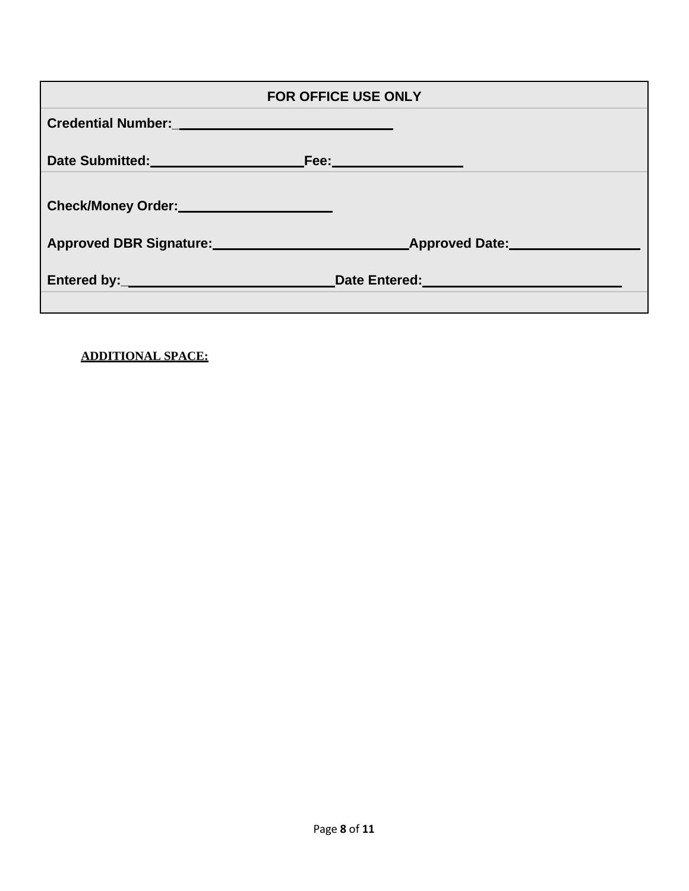|                                                   | <b>FOR OFFICE USE ONLY</b>                                                                                      |
|---------------------------------------------------|-----------------------------------------------------------------------------------------------------------------|
| Credential Number:<br><u>Credential Number:</u>   |                                                                                                                 |
|                                                   |                                                                                                                 |
| Check/Money Order:<br><u> Check/Money Order</u> : |                                                                                                                 |
|                                                   | Approved DBR Signature: Approved Date: Approved Date:                                                           |
|                                                   | Date Entered: University of the Contract of the Contract of the Contract of the Contract of the Contract of the |

**ADDITIONAL SPACE:**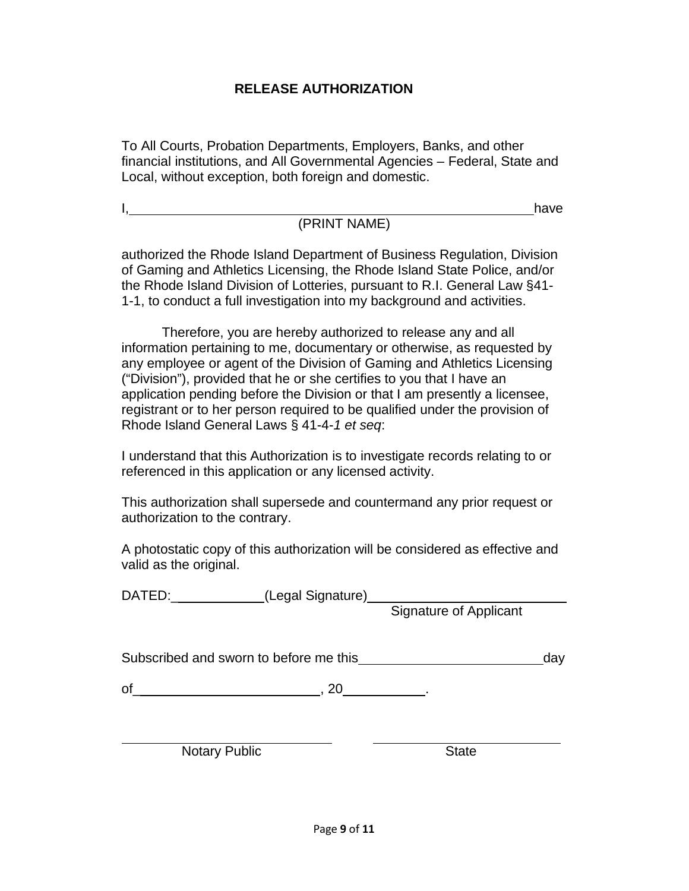## **RELEASE AUTHORIZATION**

To All Courts, Probation Departments, Employers, Banks, and other financial institutions, and All Governmental Agencies – Federal, State and Local, without exception, both foreign and domestic.

I<u>, have had a set of the set of the set of the set of the set of the set of the set of the set of the set of the set of the set of the set of the set of the set of the set of the set of the set of the set of the set of th</u>

## (PRINT NAME)

authorized the Rhode Island Department of Business Regulation, Division of Gaming and Athletics Licensing, the Rhode Island State Police, and/or the Rhode Island Division of Lotteries, pursuant to R.I. General Law §41- 1-1, to conduct a full investigation into my background and activities.

Therefore, you are hereby authorized to release any and all information pertaining to me, documentary or otherwise, as requested by any employee or agent of the Division of Gaming and Athletics Licensing ("Division"), provided that he or she certifies to you that I have an application pending before the Division or that I am presently a licensee, registrant or to her person required to be qualified under the provision of Rhode Island General Laws § 41-4-*1 et seq*:

I understand that this Authorization is to investigate records relating to or referenced in this application or any licensed activity.

This authorization shall supersede and countermand any prior request or authorization to the contrary.

A photostatic copy of this authorization will be considered as effective and valid as the original.

DATED:\_\_\_\_\_\_\_\_\_\_\_\_(Legal Signature) Signature of Applicant

Subscribed and sworn to before me this day day

 $of$  , 20  $.$ 

Notary Public State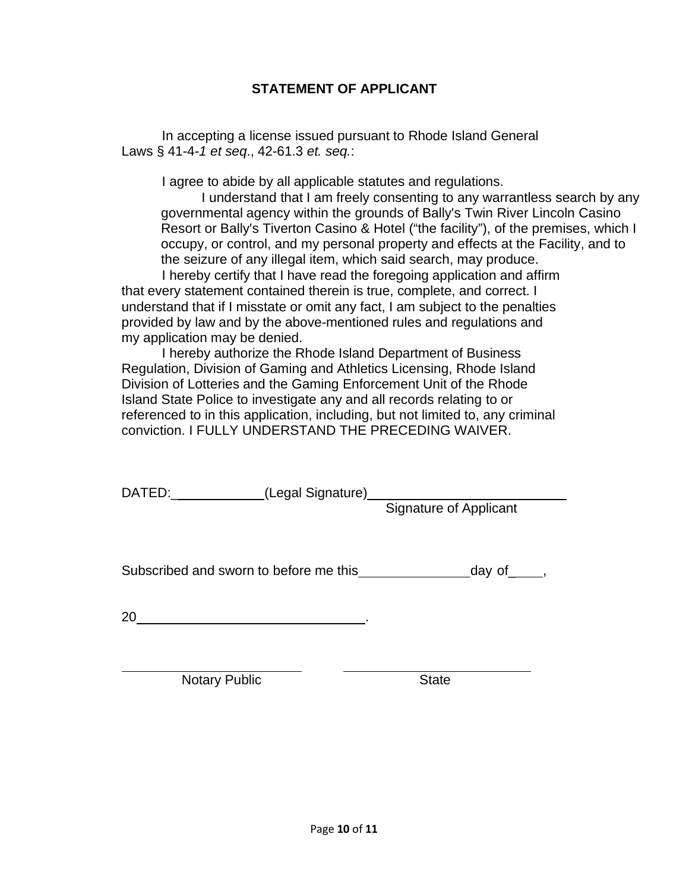## **STATEMENT OF APPLICANT**

In accepting a license issued pursuant to Rhode Island General Laws § 41-4-*1 et seq*., 42-61.3 *et. seq.*:

I agree to abide by all applicable statutes and regulations.

I understand that I am freely consenting to any warrantless search by any governmental agency within the grounds of Bally's Twin River Lincoln Casino Resort or Bally's Tiverton Casino & Hotel ("the facility"), of the premises, which I occupy, or control, and my personal property and effects at the Facility, and to the seizure of any illegal item, which said search, may produce.

I hereby certify that I have read the foregoing application and affirm that every statement contained therein is true, complete, and correct. I understand that if I misstate or omit any fact, I am subject to the penalties provided by law and by the above-mentioned rules and regulations and my application may be denied.

I hereby authorize the Rhode Island Department of Business Regulation, Division of Gaming and Athletics Licensing, Rhode Island Division of Lotteries and the Gaming Enforcement Unit of the Rhode Island State Police to investigate any and all records relating to or referenced to in this application, including, but not limited to, any criminal conviction. I FULLY UNDERSTAND THE PRECEDING WAIVER.

DATED:\_\_\_\_\_\_\_\_\_\_\_\_(Legal Signature)

Signature of Applicant

Subscribed and sworn to before me this day of heat of the state of  $\sim$ 

20 .

Notary Public **State** State